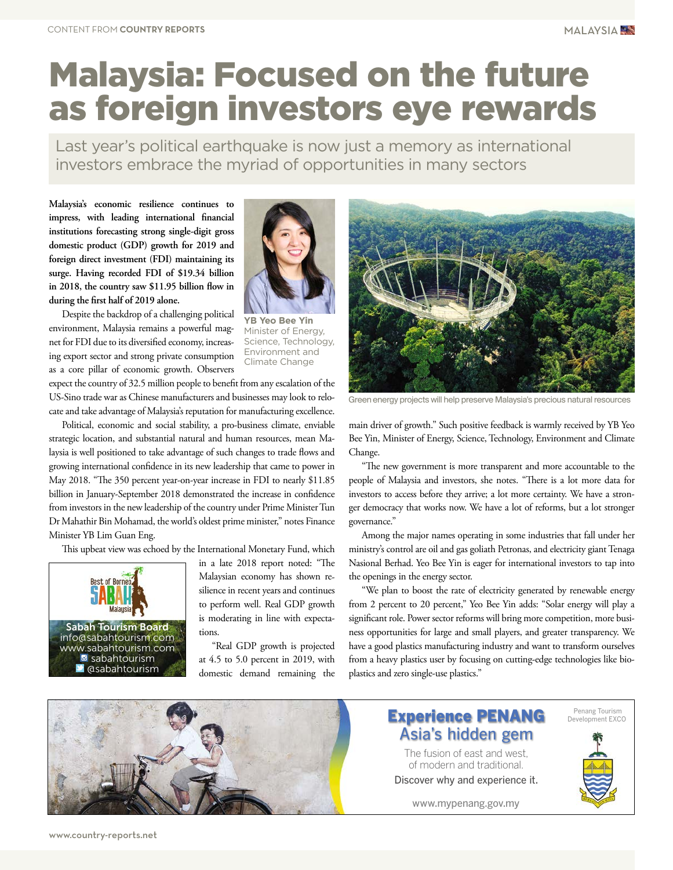# Malaysia: Focused on the future as foreign investors eye rewards

Last year's political earthquake is now just a memory as international investors embrace the myriad of opportunities in many sectors

**Malaysia's economic resilience continues to impress, with leading international financial institutions forecasting strong single-digit gross domestic product (GDP) growth for 2019 and foreign direct investment (FDI) maintaining its surge. Having recorded FDI of \$19.34 billion in 2018, the country saw \$11.95 billion flow in during the first half of 2019 alone.**

Despite the backdrop of a challenging political environment, Malaysia remains a powerful magnet for FDI due to its diversified economy, increasing export sector and strong private consumption as a core pillar of economic growth. Observers



**YB Yeo Bee Yin** Minister of Energy, Science, Technology, Environment and Climate Change

expect the country of 32.5 million people to benefit from any escalation of the US-Sino trade war as Chinese manufacturers and businesses may look to relocate and take advantage of Malaysia's reputation for manufacturing excellence.

Political, economic and social stability, a pro-business climate, enviable strategic location, and substantial natural and human resources, mean Malaysia is well positioned to take advantage of such changes to trade flows and growing international confidence in its new leadership that came to power in May 2018. "The 350 percent year-on-year increase in FDI to nearly \$11.85 billion in January-September 2018 demonstrated the increase in confidence from investors in the new leadership of the country under Prime Minister Tun Dr Mahathir Bin Mohamad, the world's oldest prime minister," notes Finance Minister YB Lim Guan Eng.

This upbeat view was echoed by the International Monetary Fund, which



in a late 2018 report noted: "The Malaysian economy has shown resilience in recent years and continues to perform well. Real GDP growth is moderating in line with expectations.

"Real GDP growth is projected at 4.5 to 5.0 percent in 2019, with domestic demand remaining the



Green'energy projects will help preserve Malaysia's precious natural resources

main driver of growth." Such positive feedback is warmly received by YB Yeo Bee Yin, Minister of Energy, Science, Technology, Environment and Climate Change.

"The new government is more transparent and more accountable to the people of Malaysia and investors, she notes. "There is a lot more data for investors to access before they arrive; a lot more certainty. We have a stronger democracy that works now. We have a lot of reforms, but a lot stronger governance."

Among the major names operating in some industries that fall under her ministry's control are oil and gas goliath Petronas, and electricity giant Tenaga Nasional Berhad. Yeo Bee Yin is eager for international investors to tap into the openings in the energy sector.

"We plan to boost the rate of electricity generated by renewable energy from 2 percent to 20 percent," Yeo Bee Yin adds: "Solar energy will play a significant role. Power sector reforms will bring more competition, more business opportunities for large and small players, and greater transparency. We have a good plastics manufacturing industry and want to transform ourselves from a heavy plastics user by focusing on cutting-edge technologies like bioplastics and zero single-use plastics."

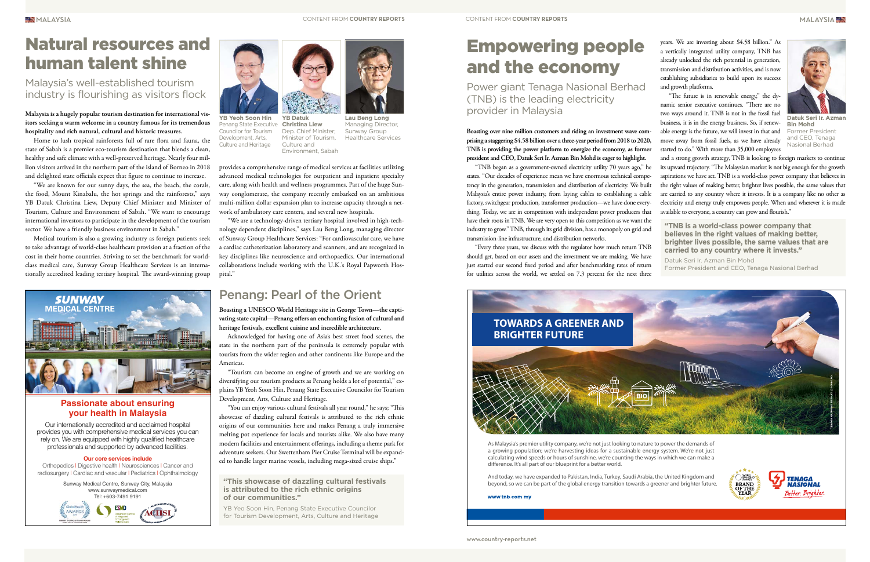**MALAYSIA** 

#### **Malaysia is a hugely popular tourism destination for international visitors seeking a warm welcome in a country famous for its tremendous hospitality and rich natural, cultural and historic treasures.**

Home to lush tropical rainforests full of rare flora and fauna, the state of Sabah is a premier eco-tourism destination that blends a clean, healthy and safe climate with a well-preserved heritage. Nearly four million visitors arrived in the northern part of the island of Borneo in 2018 and delighted state officials expect that figure to continue to increase.

"We are known for our sunny days, the sea, the beach, the corals, the food, Mount Kinabalu, the hot springs and the rainforests," says YB Datuk Christina Liew, Deputy Chief Minister and Minister of Tourism, Culture and Environment of Sabah. "We want to encourage international investors to participate in the development of the tourism sector. We have a friendly business environment in Sabah."

Medical tourism is also a growing industry as foreign patients seek to take advantage of world-class healthcare provision at a fraction of the cost in their home countries. Striving to set the benchmark for worldclass medical care, Sunway Group Healthcare Services is an internationally accredited leading tertiary hospital. The award-winning group



provides a comprehensive range of medical services at facilities utilizing advanced medical technologies for outpatient and inpatient specialty care, along with health and wellness programmes. Part of the huge Sunway conglomerate, the company recently embarked on an ambitious multi-million dollar expansion plan to increase capacity through a network of ambulatory care centers, and several new hospitals.

"We are a technology-driven tertiary hospital involved in high-technology dependent disciplines," says Lau Beng Long, managing director of Sunway Group Healthcare Services: "For cardiovascular care, we have a cardiac catheterization laboratory and scanners, and are recognized in key disciplines like neuroscience and orthopaedics. Our international collaborations include working with the U.K.'s Royal Papworth Hospital."

**Boasting over nine million customers and riding an investment wave comprising a staggering \$4.58 billion over a three-year period from 2018 to 2020, TNB is providing the power platform to energize the economy, as former president and CEO, Datuk Seri Ir. Azman Bin Mohd is eager to highlight.**



Datuk Seri Ir. Azma **Bin Mohd** Former President and CEO, Tenaga Nasional Berhad

"TNB began as a government-owned electricity utility 70 years ago," he states. "Our decades of experience mean we have enormous technical competency in the generation, transmission and distribution of electricity. We built Malaysia's entire power industry, from laying cables to establishing a cable factory, switchgear production, transformer production—we have done everything. Today, we are in competition with independent power producers that have their roots in TNB. We are very open to this competition as we want the industry to grow." TNB, through its grid division, has a monopoly on grid and transmission-line infrastructure, and distribution networks.

"You can enjoy various cultural festivals all year round," he says; "This showcase of dazzling cultural festivals is attributed to the rich ethnic origins of our communities here and makes Penang a truly immersive melting pot experience for locals and tourists alike. We also have many modern facilities and entertainment offerings, including a theme park for adventure seekers. Our Swettenham Pier Cruise Terminal will be expanded to handle larger marine vessels, including mega-sized cruise ships." professionals and supported by advanced facilities. Modern facilities and entertainment offerings, including a theme park for and the company we're not just looking to nature to power the demands of professionals and suppo

"Every three years, we discuss with the regulator how much return TNB should get, based on our assets and the investment we are making. We have just started our second fixed period and after benchmarking rates of return for utilities across the world, we settled on 7.3 percent for the next three

Orthopedics | Digestive health | Neurosciences | Cancer and radiosurgery | Cardiac and vascular | Pediatrics | Ophthalmology a growing population; we're harvesting ideas for a sustainable energy system. We're not just calculating wind speeds or hours of sunshine, we're counting the ways in which we can make a difference. It's all part of our blueprint for a better world.

years. We are investing about \$4.58 billion." As a vertically integrated utility company, TNB has already unlocked the rich potential in generation, transmission and distribution activities, and is now establishing subsidiaries to build upon its success and growth platforms.

"The future is in renewable energy," the dynamic senior executive continues. "There are no two ways around it. TNB is not in the fossil fuel business, it is in the energy business. So, if renewable energy is the future, we will invest in that and move away from fossil fuels, as we have already started to do." With more than 35,000 employees

and a strong growth strategy, TNB is looking to foreign markets to continue its upward trajectory. "The Malaysian market is not big enough for the growth aspirations we have set. TNB is a world-class power company that believes in the right values of making better, brighter lives possible, the same values that are carried to any country where it invests. It is a company like no other as electricity and energy truly empowers people. When and wherever it is made available to everyone, a country can grow and flourish."

## Empowering people and the economy

Power giant Tenaga Nasional Berhad (TNB) is the leading electricity provider in Malaysia **Lau Beng Long**

Managing Director, Sunway Group Healthcare Services Dep. Chief Minister; Minister of Tourism, Culture and Environment, Sabah

**YB Datuk**  Penang State Executive Christina Liew **YB Yeoh Soon Hin** Councilor for Tourism Development, Arts, Culture and Heritage

**Boasting a UNESCO World Heritage site in George Town—the captivating state capital—Penang offers an enchanting fusion of cultural and heritage festivals, excellent cuisine and incredible architecture.**

Acknowledged for having one of Asia's best street food scenes, the state in the northern part of the peninsula is extremely popular with tourists from the wider region and other continents like Europe and the Americas.

"Tourism can become an engine of growth and we are working on diversifying our tourism products as Penang holds a lot of potential," explains YB Yeoh Soon Hin, Penang State Executive Councilor for Tourism Development, Arts, Culture and Heritage.

## Natural resources and human talent shine

### Penang: Pearl of the Orient

Malaysia's well-established tourism industry is flourishing as visitors flock

> Sunway Medical Centre, Sunway City, Malaysia www.sunwaymedical.com Tel: +603-7491 9191





#### **Passionate about ensuring your health in Malaysia**

#### **Our core services include**

Our internationally accredited and acclaimed hospital provides you with comprehensive medical services you can rely on. We are equipped with highly qualified healthcare

> And today, we have expanded to Pakistan, India, Turkey, Saudi Arabia, the United Kingdom and beyond, so we can be part of the global energy transition towards a greener and brighter future.

www.tnb.com.mv



**"TNB is a world-class power company that believes in the right values of making better, brighter lives possible, the same values that are carried to any country where it invests."**

Datuk Seri Ir. Azman Bin Mohd Former President and CEO, Tenaga Nasional Berhad





#### **"This showcase of dazzling cultural festivals is attributed to the rich ethnic origins of our communities."**

YB Yeo Soon Hin, Penang State Executive Councilor for Tourism Development, Arts, Culture and Heritage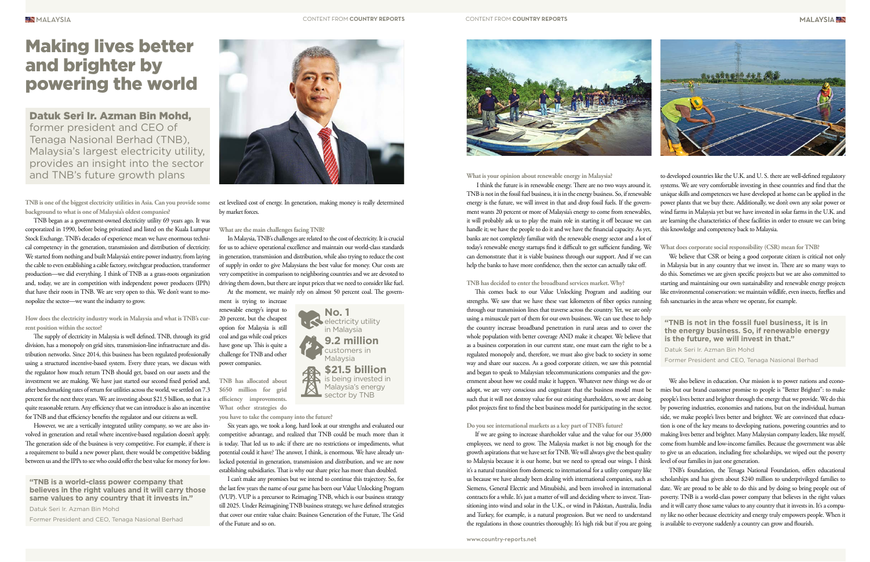**TNB is one of the biggest electricity utilities in Asia. Can you provide some background to what is one of Malaysia's oldest companies?**

TNB began as a government-owned electricity utility 69 years ago. It was corporatized in 1990, before being privatized and listed on the Kuala Lumpur Stock Exchange. TNB's decades of experience mean we have enormous technical competency in the generation, transmission and distribution of electricity. We started from nothing and built Malaysia's entire power industry, from laying the cable to even establishing a cable factory, switchgear production, transformer production—we did everything. I think of TNB as a grass-roots organization and, today, we are in competition with independent power producers (IPPs) that have their roots in TNB. We are very open to this. We don't want to monopolize the sector—we want the industry to grow.

**How does the electricity industry work in Malaysia and what is TNB's current position within the sector?** 

The supply of electricity in Malaysia is well defined. TNB, through its grid division, has a monopoly on grid sites, transmission-line infrastructure and distribution networks. Since 2014, this business has been regulated professionally using a structured incentive-based system. Every three years, we discuss with the regulator how much return TNB should get, based on our assets and the investment we are making. We have just started our second fixed period and, after benchmarking rates of return for utilities across the world, we settled on 7.3 percent for the next three years. We are investing about \$21.5 billion, so that is a quite reasonable return. Any efficiency that we can introduce is also an incentive for TNB and that efficiency benefits the regulator and our citizens as well.

However, we are a vertically integrated utility company, so we are also involved in generation and retail where incentive-based regulation doesn't apply. The generation side of the business is very competitive. For example, if there is a requirement to build a new power plant, there would be competitive bidding between us and the IPPs to see who could offer the best value for money for lowest levelized cost of energy. In generation, making money is really determined by market forces.

**What are the main challenges facing TNB?** 

electricity utility in Malaysia **9.2 million**  customers in Malaysia

In Malaysia, TNB's challenges are related to the cost of electricity. It is crucial for us to achieve operational excellence and maintain our world-class standards in generation, transmission and distribution, while also trying to reduce the cost of supply in order to give Malaysians the best value for money. Our costs are very competitive in comparison to neighboring countries and we are devoted to driving them down, but there are input prices that we need to consider like fuel.

At the moment, we mainly rely on almost 50 percent coal. The govern-

ment is trying to increase renewable energy's input to 20 percent, but the cheapest option for Malaysia is still coal and gas while coal prices have gone up. This is quite a challenge for TNB and other power companies.

**TNB has allocated about \$650 million for grid efficiency improvements. What other strategies do** 

**you have to take the company into the future?** 

Six years ago, we took a long, hard look at our strengths and evaluated our competitive advantage, and realized that TNB could be much more than it is today. That led us to ask: if there are no restrictions or impediments, what potential could it have? The answer, I think, is enormous. We have already unlocked potential in generation, transmission and distribution, and we are now establishing subsidiaries. That is why our share price has more than doubled.

资

I can't make any promises but we intend to continue this trajectory. So, for the last few years the name of our game has been our Value Unlocking Program (VUP). VUP is a precursor to Reimaging TNB, which is our business strategy till 2025. Under Reimagining TNB business strategy, we have defined strategies that cover our entire value chain: Business Generation of the Future, The Grid of the Future and so on.



### Making lives better and brighter by powering the world

Datuk Seri Ir. Azman Bin Mohd, former president and CEO of Tenaga Nasional Berhad (TNB), Malaysia's largest electricity utility, provides an insight into the sector and TNB's future growth plans

> We believe that CSR or being a good corporate citizen is critical not only in Malaysia but in any country that we invest in. There are so many ways to do this. Sometimes we are given specific projects but we are also committed to starting and maintaining our own sustainability and renewable energy projects like environmental conservation: we maintain wildlife, even insects, fireflies and fish sanctuaries in the areas where we operate, for example.

**"TNB is a world-class power company that believes in the right values and it will carry those same values to any country that it invests in."**

Datuk Seri Ir. Azman Bin Mohd

Former President and CEO, Tenaga Nasional Berhad



**No. 1** 

**\$21.5 billion** is being invested in Malaysia's energy sector by TNB

**What is your opinion about renewable energy in Malaysia?** 

 I think the future is in renewable energy. There are no two ways around it. TNB is not in the fossil fuel business, it is in the energy business. So, if renewable energy is the future, we will invest in that and drop fossil fuels. If the government wants 20 percent or more of Malaysia's energy to come from renewables, it will probably ask us to play the main role in starting it off because we can handle it; we have the people to do it and we have the financial capacity. As yet, banks are not completely familiar with the renewable energy sector and a lot of today's renewable energy startups find it difficult to get sufficient funding. We can demonstrate that it is viable business through our support. And if we can help the banks to have more confidence, then the sector can actually take off.

**TNB has decided to enter the broadband services market. Why?**

This comes back to our Value Unlocking Program and auditing our strengths. We saw that we have these vast kilometers of fiber optics running through our transmission lines that traverse across the country. Yet, we are only using a minuscule part of them for our own business. We can use these to help the country increase broadband penetration in rural areas and to cover the whole population with better coverage AND make it cheaper. We believe that as a business corporation in our current state, one must earn the right to be a regulated monopoly and, therefore, we must also give back to society in some way and share our success. As a good corporate citizen, we saw this potential and began to speak to Malaysian telecommunications companies and the government about how we could make it happen. Whatever new things we do or adopt, we are very conscious and cognizant that the business model must be such that it will not destroy value for our existing shareholders, so we are doing pilot projects first to find the best business model for participating in the sector.

#### **Do you see international markets as a key part of TNB's future?**

If we are going to increase shareholder value and the value for our 35,000 employees, we need to grow. The Malaysia market is not big enough for the growth aspirations that we have set for TNB. We will always give the best quality to Malaysia because it is our home, but we need to spread our wings. I think it's a natural transition from domestic to international for a utility company like us because we have already been dealing with international companies, such as Siemens, General Electric and Mitsubishi, and been involved in international contracts for a while. It's just a matter of will and deciding where to invest. Transitioning into wind and solar in the U.K., or wind in Pakistan, Australia, India and Turkey, for example, is a natural progression. But we need to understand the regulations in those countries thoroughly. It's high risk but if you are going

to developed countries like the U.K. and U. S. there are well-defined regulatory systems. We are very comfortable investing in these countries and find that the unique skills and competences we have developed at home can be applied in the power plants that we buy there. Additionally, we don't own any solar power or wind farms in Malaysia yet but we have invested in solar farms in the U.K. and are learning the characteristics of these facilities in order to ensure we can bring this knowledge and competency back to Malaysia.

#### **What does corporate social responsibility (CSR) mean for TNB?**

We also believe in education. Our mission is to power nations and economies but our brand customer promise to people is "Better Brighter": to make people's lives better and brighter through the energy that we provide. We do this by powering industries, economies and nations, but on the individual, human side, we make people's lives better and brighter. We are convinced that education is one of the key means to developing nations, powering countries and to making lives better and brighter. Many Malaysian company leaders, like myself, come from humble and low-income families. Because the government was able to give us an education, including free scholarships, we wiped out the poverty level of our families in just one generation.

TNB's foundation, the Tenaga National Foundation, offers educational scholarships and has given about \$240 million to underprivileged families to date. We are proud to be able to do this and by doing so bring people out of poverty. TNB is a world-class power company that believes in the right values and it will carry those same values to any country that it invests in. It's a company like no other because electricity and energy truly empowers people. When it is available to everyone suddenly a country can grow and flourish.

**"TNB is not in the fossil fuel business, it is in the energy business. So, if renewable energy is the future, we will invest in that."** Datuk Seri Ir. Azman Bin Mohd Former President and CEO, Tenaga Nasional Berhad

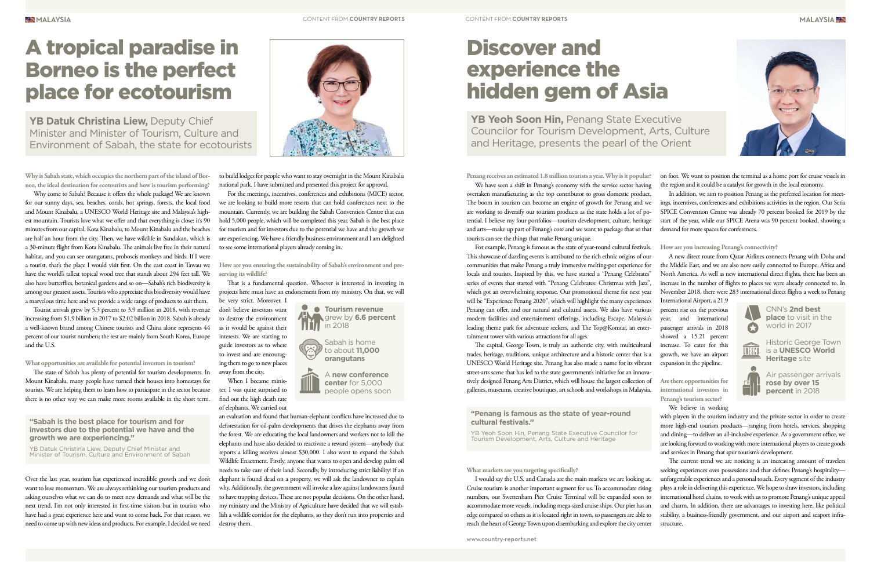



**Why is Sabah state, which occupies the northern part of the island of Borneo, the ideal destination for ecotourists and how is tourism performing?**

Why come to Sabah? Because it offers the whole package! We are known for our sunny days, sea, beaches, corals, hot springs, forests, the local food and Mount Kinabalu, a UNESCO World Heritage site and Malaysia's highest mountain. Tourists love what we offer and that everything is close: it's 90 minutes from our capital, Kota Kinabalu, to Mount Kinabalu and the beaches are half an hour from the city. Then, we have wildlife in Sandakan, which is a 30-minute flight from Kota Kinabalu. The animals live free in their natural habitat, and you can see orangutans, proboscis monkeys and birds. If I were a tourist, that's the place I would visit first. On the east coast in Tawau we have the world's tallest topical wood tree that stands about 294 feet tall. We also have butterflies, botanical gardens and so on—Sabah's rich biodiversity is among our greatest assets. Tourists who appreciate this biodiversity would have a marvelous time here and we provide a wide range of products to suit them.

Tourist arrivals grew by 5.3 percent to 3.9 million in 2018, with revenue increasing from \$1.9 billion in 2017 to \$2.02 billion in 2018. Sabah is already a well-known brand among Chinese tourists and China alone represents 44 percent of our tourist numbers; the rest are mainly from South Korea, Europe and the U.S.

**What opportunities are available for potential investors in tourism?** 

The state of Sabah has plenty of potential for tourism developments. In Mount Kinabalu, many people have turned their houses into homestays for tourists. We are helping them to learn how to participate in the sector because there is no other way we can make more rooms available in the short term.

Over the last year, tourism has experienced incredible growth and we don't want to lose momentum. We are always rethinking our tourism products and asking ourselves what we can do to meet new demands and what will be the next trend. I'm not only interested in first-time visitors but in tourists who have had a great experience here and want to come back. For that reason, we need to come up with new ideas and products. For example, I decided we need

YB Datuk Christina Liew, Deputy Chief Minister and Minister of Tourism, Culture and Environment of Sabah, the state for ecotourists

to build lodges for people who want to stay overnight in the Mount Kinabalu national park. I have submitted and presented this project for approval.

For the meetings, incentives, conferences and exhibitions (MICE) sector, we are looking to build more resorts that can hold conferences next to the mountain. Currently, we are building the Sabah Convention Centre that can hold 5,000 people, which will be completed this year. Sabah is the best place for tourism and for investors due to the potential we have and the growth we are experiencing. We have a friendly business environment and I am delighted to see some international players already coming in.

**How are you ensuring the sustainability of Sabah's environment and preserving its wildlife?** 

That is a fundamental question. Whoever is interested in investing in projects here must have an endorsement from my ministry. On that, we will

 $\bullet$  Tourism revenue

be very strict. Moreover, I don't believe investors want to destroy the environment as it would be against their interests. We are starting to guide investors as to where to invest and are encouraging them to go to new places away from the city.

When I became minister, I was quite surprised to find out the high death rate of elephants. We carried out

an evaluation and found that human-elephant conflicts have increased due to deforestation for oil-palm developments that drives the elephants away from the forest. We are educating the local landowners and workers not to kill the elephants and have also decided to reactivate a reward system—anybody that reports a killing receives almost \$30,000. I also want to expand the Sabah Wildlife Enactment. Firstly, anyone that wants to open and develop palm oil needs to take care of their land. Secondly, by introducing strict liability: if an elephant is found dead on a property, we will ask the landowner to explain why. Additionally, the government will invoke a law against landowners found to have trapping devices. These are not popular decisions. On the other hand, my ministry and the Ministry of Agriculture have decided that we will establish a wildlife corridor for the elephants, so they don't run into properties and destroy them.

**"Sabah is the best place for tourism and for investors due to the potential we have and the growth we are experiencing."**

YB Datuk Christina Liew, Deputy Chief Minister and Minister of Tourism, Culture and Environment of Sabah YB Yeoh Soon Hin, Penang State Executive Councilor for Tourism Development, Arts, Culture and Heritage, presents the pearl of the Orient

grew by **6.6 percent**

in 2018

Sabah is home to about **11,000 orangutans**

A **new conference center** for 5,000 people opens soon

## A tropical paradise in Borneo is the perfect place for ecotourism

**Penang receives an estimated 1.8 million tourists a year. Why is it popular?**

For example, Penang is famous as the state of year-round cultural festivals. This showcase of dazzling events is attributed to the rich ethnic origins of our communities that make Penang a truly immersive melting-pot experience for locals and tourists. Inspired by this, we have started a "Penang Celebrates" series of events that started with "Penang Celebrates: Christmas with Jazz", which got an overwhelming response. Our promotional theme for next year will be "Experience Penang 2020", which will highlight the many experiences Penang can offer, and our natural and cultural assets. We also have various modern facilities and entertainment offerings, including Escape, Malaysia's leading theme park for adventure seekers, and The Top@Komtar, an entertainment tower with various attractions for all ages.

We have seen a shift in Penang's economy with the service sector having overtaken manufacturing as the top contributor to gross domestic product. The boom in tourism can become an engine of growth for Penang and we are working to diversify our tourism products as the state holds a lot of potential. I believe my four portfolios—tourism development, culture, heritage and arts—make up part of Penang's core and we want to package that so that tourists can see the things that make Penang unique. the region and it could be a catalyst for growth in the local economy. In addition, we aim to position Penang as the preferred location for meetings, incentives, conferences and exhibitions activities in the region. Our Setia SPICE Convention Centre was already 70 percent booked for 2019 by the start of the year, while our SPICE Arena was 90 percent booked, showing a demand for more spaces for conferences.

The capital, George Town, is truly an authentic city, with multicultural trades, heritage, traditions, unique architecture and a historic center that is a UNESCO World Heritage site. Penang has also made a name for its vibrant street-arts scene that has led to the state government's initiative for an innovatively designed Penang Arts District, which will house the largest collection of galleries, museums, creative boutiques, art schools and workshops in Malaysia.

#### **What markets are you targeting specifically?**

I would say the U.S. and Canada are the main markets we are looking at. Cruise tourism is another important segment for us. To accommodate rising numbers, our Swettenham Pier Cruise Terminal will be expanded soon to accommodate more vessels, including mega-sized cruise ships. Our pier has an edge compared to others as it is located right in town, so passengers are able to reach the heart of George Town upon disembarking and explore the city center

on foot. We want to position the terminal as a home port for cruise vessels in

#### **How are you increasing Penang's connectivity?**

A new direct route from Qatar Airlines connects Penang with Doha and the Middle East, and we are also now easily connected to Europe, Africa and North America. As well as new international direct flights, there has been an increase in the number of flights to places we were already connected to. In November 2018, there were 283 international direct flights a week to Penang

International Airport, a 21.9 percent rise on the previous year, and international passenger arrivals in 2018 showed a 15.21 percent increase. To cater for this growth, we have an airport expansion in the pipeline.

**Are there opportunities for international investors in Penang's tourism sector?** 

We believe in working

with players in the tourism industry and the private sector in order to create more high-end tourism products—ranging from hotels, services, shopping and dining—to deliver an all-inclusive experience. As a government office, we are looking forward to working with more international players to create goods and services in Penang that spur tourism's development.

The current trend we are noticing is an increasing amount of travelers seeking experiences over possessions and that defines Penang's hospitality unforgettable experiences and a personal touch. Every segment of the industry plays a role in delivering this experience. We hope to draw investors, including international hotel chains, to work with us to promote Penang's unique appeal and charm. In addition, there are advantages to investing here, like political stability, a business-friendly government, and our airport and seaport infrastructure.

#### **"Penang is famous as the state of year-round cultural festivals."**

YB Yeoh Soon Hin, Penang State Executive Councilor for Tourism Development, Arts, Culture and Heritage



## Discover and experience the hidden gem of Asia